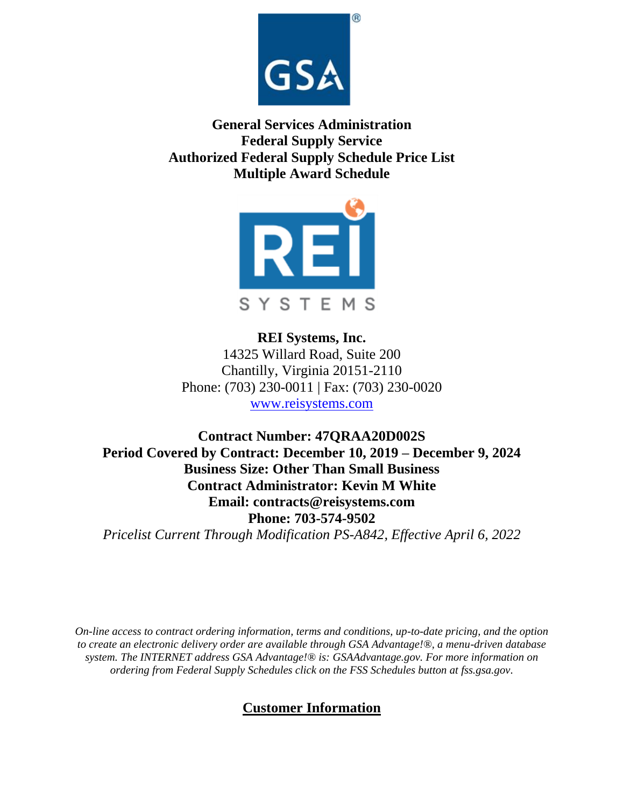

**General Services Administration Federal Supply Service Authorized Federal Supply Schedule Price List Multiple Award Schedule**



**REI Systems, Inc.** 14325 Willard Road, Suite 200 Chantilly, Virginia 20151-2110 Phone: (703) 230-0011 | Fax: (703) 230-0020 [www.reisystems.com](http://www.reisystems.com/)

**Contract Number: 47QRAA20D002S Period Covered by Contract: December 10, 2019 – December 9, 2024 Business Size: Other Than Small Business Contract Administrator: Kevin M White Email: contracts@reisystems.com Phone: 703-574-9502**

*Pricelist Current Through Modification PS-A842, Effective April 6, 2022*

*On-line access to contract ordering information, terms and conditions, up-to-date pricing, and the option to create an electronic delivery order are available through GSA Advantage!®, a menu-driven database system. The INTERNET address GSA Advantage!® is: GSAAdvantage.gov. For more information on ordering from Federal Supply Schedules click on the FSS Schedules button at fss.gsa.gov.*

# **Customer Information**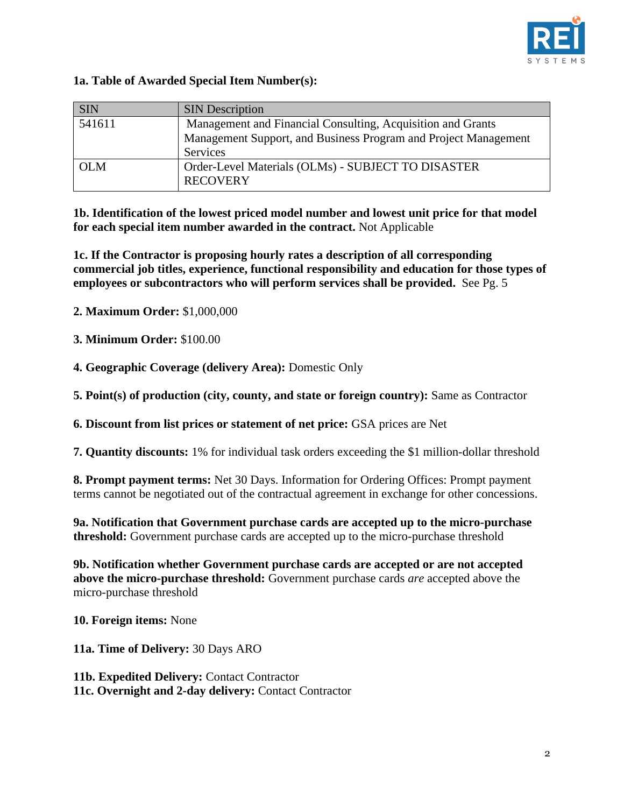

## **1a. Table of Awarded Special Item Number(s):**

| <b>SIN</b> | <b>SIN</b> Description                                          |  |  |
|------------|-----------------------------------------------------------------|--|--|
| 541611     | Management and Financial Consulting, Acquisition and Grants     |  |  |
|            | Management Support, and Business Program and Project Management |  |  |
|            | Services                                                        |  |  |
| <b>OLM</b> | Order-Level Materials (OLMs) - SUBJECT TO DISASTER              |  |  |
|            | <b>RECOVERY</b>                                                 |  |  |

**1b. Identification of the lowest priced model number and lowest unit price for that model for each special item number awarded in the contract.** Not Applicable

**1c. If the Contractor is proposing hourly rates a description of all corresponding commercial job titles, experience, functional responsibility and education for those types of employees or subcontractors who will perform services shall be provided.** See Pg. 5

**2. Maximum Order:** \$1,000,000

**3. Minimum Order:** \$100.00

**4. Geographic Coverage (delivery Area):** Domestic Only

**5. Point(s) of production (city, county, and state or foreign country):** Same as Contractor

**6. Discount from list prices or statement of net price:** GSA prices are Net

**7. Quantity discounts:** 1% for individual task orders exceeding the \$1 million-dollar threshold

**8. Prompt payment terms:** Net 30 Days. Information for Ordering Offices: Prompt payment terms cannot be negotiated out of the contractual agreement in exchange for other concessions.

**9a. Notification that Government purchase cards are accepted up to the micro-purchase threshold:** Government purchase cards are accepted up to the micro-purchase threshold

**9b. Notification whether Government purchase cards are accepted or are not accepted above the micro-purchase threshold:** Government purchase cards *are* accepted above the micro-purchase threshold

**10. Foreign items:** None

**11a. Time of Delivery:** 30 Days ARO

11b. Expedited Delivery: Contact Contractor 11c. Overnight and 2-day delivery: Contact Contractor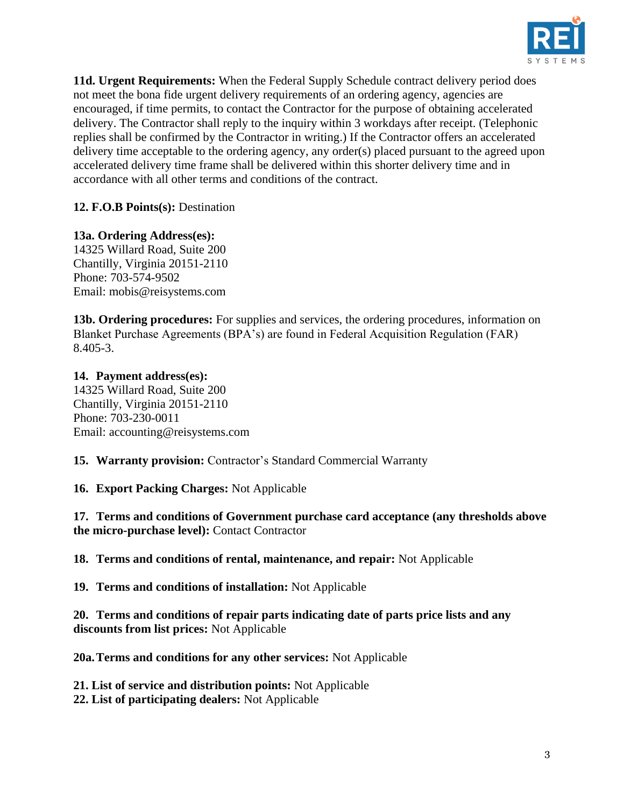

**11d. Urgent Requirements:** When the Federal Supply Schedule contract delivery period does not meet the bona fide urgent delivery requirements of an ordering agency, agencies are encouraged, if time permits, to contact the Contractor for the purpose of obtaining accelerated delivery. The Contractor shall reply to the inquiry within 3 workdays after receipt. (Telephonic replies shall be confirmed by the Contractor in writing.) If the Contractor offers an accelerated delivery time acceptable to the ordering agency, any order(s) placed pursuant to the agreed upon accelerated delivery time frame shall be delivered within this shorter delivery time and in accordance with all other terms and conditions of the contract.

**12. F.O.B Points(s):** Destination

**13a. Ordering Address(es):** 14325 Willard Road, Suite 200 Chantilly, Virginia 20151-2110 Phone: 703-574-9502 Email: mobis@reisystems.com

**13b. Ordering procedures:** For supplies and services, the ordering procedures, information on Blanket Purchase Agreements (BPA's) are found in Federal Acquisition Regulation (FAR) 8.405-3.

**14. Payment address(es):** 14325 Willard Road, Suite 200 Chantilly, Virginia 20151-2110 Phone: 703-230-0011 Email: accounting@reisystems.com

**15. Warranty provision:** Contractor's Standard Commercial Warranty

**16. Export Packing Charges:** Not Applicable

**17. Terms and conditions of Government purchase card acceptance (any thresholds above the micro-purchase level):** Contact Contractor

**18. Terms and conditions of rental, maintenance, and repair:** Not Applicable

**19. Terms and conditions of installation:** Not Applicable

**20. Terms and conditions of repair parts indicating date of parts price lists and any discounts from list prices:** Not Applicable

**20a.Terms and conditions for any other services:** Not Applicable

**21. List of service and distribution points:** Not Applicable

**22. List of participating dealers:** Not Applicable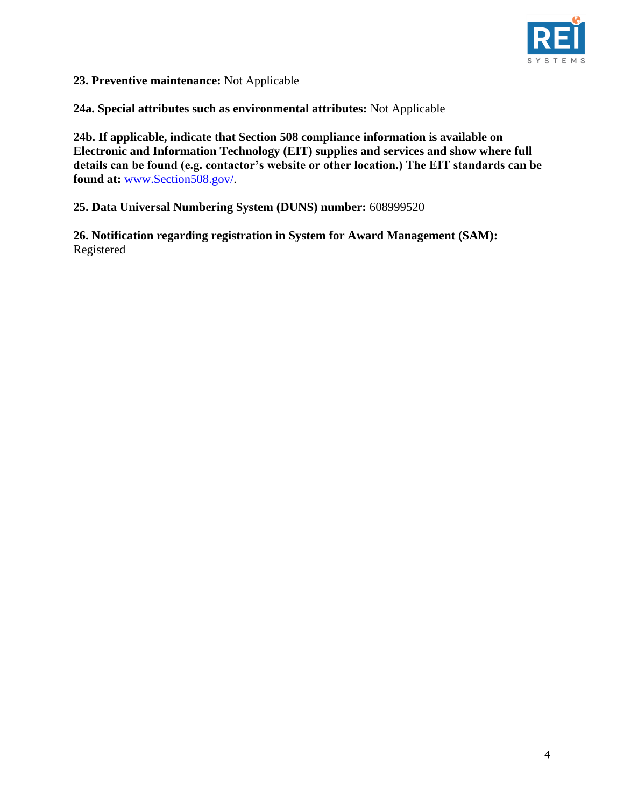

**23. Preventive maintenance:** Not Applicable

**24a. Special attributes such as environmental attributes:** Not Applicable

**24b. If applicable, indicate that Section 508 compliance information is available on Electronic and Information Technology (EIT) supplies and services and show where full details can be found (e.g. contactor's website or other location.) The EIT standards can be found at:** [www.Section508.gov/.](http://www.section508.gov/)

**25. Data Universal Numbering System (DUNS) number:** 608999520

**26. Notification regarding registration in System for Award Management (SAM):**  Registered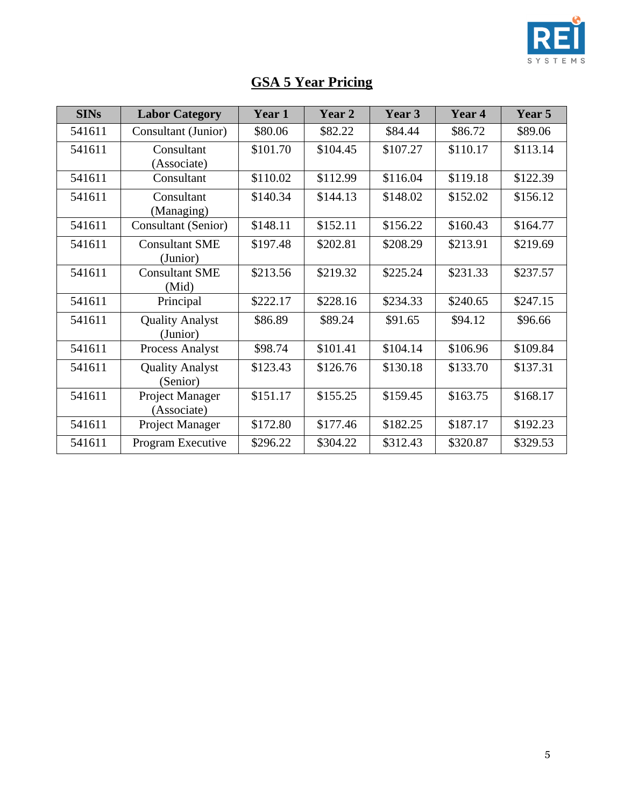

| <b>GSA 5 Year Pricing</b> |
|---------------------------|
|---------------------------|

| <b>SINs</b> | <b>Labor Category</b>              | Year 1   | Year 2   | Year 3   | Year 4   | Year 5   |
|-------------|------------------------------------|----------|----------|----------|----------|----------|
| 541611      | Consultant (Junior)                | \$80.06  | \$82.22  | \$84.44  | \$86.72  | \$89.06  |
| 541611      | Consultant                         | \$101.70 | \$104.45 | \$107.27 | \$110.17 | \$113.14 |
|             | (Associate)                        |          |          |          |          |          |
| 541611      | Consultant                         | \$110.02 | \$112.99 | \$116.04 | \$119.18 | \$122.39 |
| 541611      | Consultant<br>(Managing)           | \$140.34 | \$144.13 | \$148.02 | \$152.02 | \$156.12 |
| 541611      | Consultant (Senior)                | \$148.11 | \$152.11 | \$156.22 | \$160.43 | \$164.77 |
| 541611      | <b>Consultant SME</b>              | \$197.48 | \$202.81 | \$208.29 | \$213.91 | \$219.69 |
|             | (Junior)                           |          |          |          |          |          |
| 541611      | <b>Consultant SME</b><br>(Mid)     | \$213.56 | \$219.32 | \$225.24 | \$231.33 | \$237.57 |
| 541611      | Principal                          | \$222.17 | \$228.16 | \$234.33 | \$240.65 | \$247.15 |
| 541611      | <b>Quality Analyst</b><br>(Junior) | \$86.89  | \$89.24  | \$91.65  | \$94.12  | \$96.66  |
| 541611      | <b>Process Analyst</b>             | \$98.74  | \$101.41 | \$104.14 | \$106.96 | \$109.84 |
| 541611      | <b>Quality Analyst</b><br>(Senior) | \$123.43 | \$126.76 | \$130.18 | \$133.70 | \$137.31 |
| 541611      | Project Manager<br>(Associate)     | \$151.17 | \$155.25 | \$159.45 | \$163.75 | \$168.17 |
| 541611      | Project Manager                    | \$172.80 | \$177.46 | \$182.25 | \$187.17 | \$192.23 |
| 541611      | Program Executive                  | \$296.22 | \$304.22 | \$312.43 | \$320.87 | \$329.53 |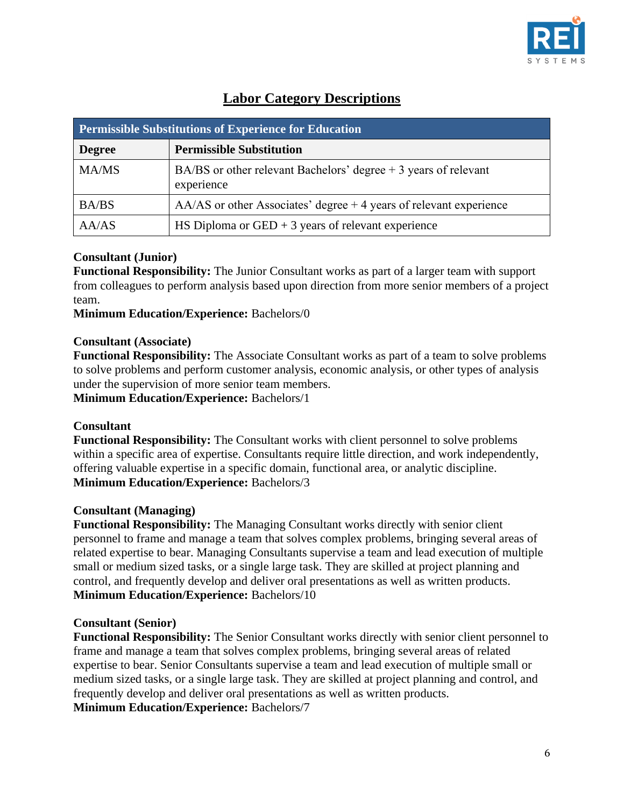

| <b>Permissible Substitutions of Experience for Education</b> |                                                                                |  |  |  |
|--------------------------------------------------------------|--------------------------------------------------------------------------------|--|--|--|
| <b>Degree</b>                                                | <b>Permissible Substitution</b>                                                |  |  |  |
| <b>MA/MS</b>                                                 | BA/BS or other relevant Bachelors' degree $+3$ years of relevant<br>experience |  |  |  |
| BA/BS                                                        | $AA/AS$ or other Associates' degree $+4$ years of relevant experience          |  |  |  |
| AA/AS                                                        | HS Diploma or $GED + 3$ years of relevant experience                           |  |  |  |

## **Labor Category Descriptions**

### **Consultant (Junior)**

**Functional Responsibility:** The Junior Consultant works as part of a larger team with support from colleagues to perform analysis based upon direction from more senior members of a project team.

**Minimum Education/Experience:** Bachelors/0

#### **Consultant (Associate)**

**Functional Responsibility:** The Associate Consultant works as part of a team to solve problems to solve problems and perform customer analysis, economic analysis, or other types of analysis under the supervision of more senior team members.

**Minimum Education/Experience:** Bachelors/1

#### **Consultant**

**Functional Responsibility:** The Consultant works with client personnel to solve problems within a specific area of expertise. Consultants require little direction, and work independently, offering valuable expertise in a specific domain, functional area, or analytic discipline. **Minimum Education/Experience:** Bachelors/3

#### **Consultant (Managing)**

**Functional Responsibility:** The Managing Consultant works directly with senior client personnel to frame and manage a team that solves complex problems, bringing several areas of related expertise to bear. Managing Consultants supervise a team and lead execution of multiple small or medium sized tasks, or a single large task. They are skilled at project planning and control, and frequently develop and deliver oral presentations as well as written products. **Minimum Education/Experience:** Bachelors/10

#### **Consultant (Senior)**

**Functional Responsibility:** The Senior Consultant works directly with senior client personnel to frame and manage a team that solves complex problems, bringing several areas of related expertise to bear. Senior Consultants supervise a team and lead execution of multiple small or medium sized tasks, or a single large task. They are skilled at project planning and control, and frequently develop and deliver oral presentations as well as written products. **Minimum Education/Experience:** Bachelors/7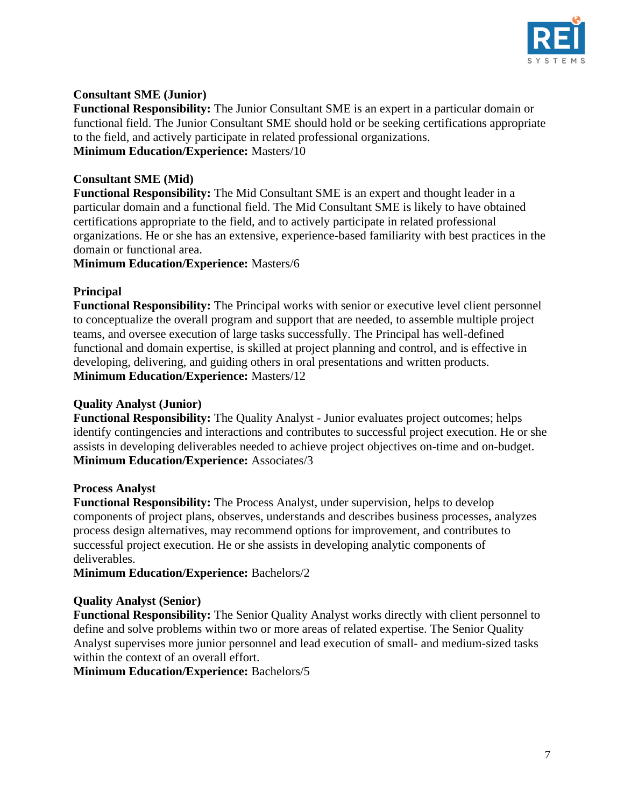

### **Consultant SME (Junior)**

**Functional Responsibility:** The Junior Consultant SME is an expert in a particular domain or functional field. The Junior Consultant SME should hold or be seeking certifications appropriate to the field, and actively participate in related professional organizations. **Minimum Education/Experience:** Masters/10

#### **Consultant SME (Mid)**

**Functional Responsibility:** The Mid Consultant SME is an expert and thought leader in a particular domain and a functional field. The Mid Consultant SME is likely to have obtained certifications appropriate to the field, and to actively participate in related professional organizations. He or she has an extensive, experience-based familiarity with best practices in the domain or functional area.

**Minimum Education/Experience:** Masters/6

#### **Principal**

**Functional Responsibility:** The Principal works with senior or executive level client personnel to conceptualize the overall program and support that are needed, to assemble multiple project teams, and oversee execution of large tasks successfully. The Principal has well-defined functional and domain expertise, is skilled at project planning and control, and is effective in developing, delivering, and guiding others in oral presentations and written products. **Minimum Education/Experience:** Masters/12

#### **Quality Analyst (Junior)**

**Functional Responsibility:** The Quality Analyst - Junior evaluates project outcomes; helps identify contingencies and interactions and contributes to successful project execution. He or she assists in developing deliverables needed to achieve project objectives on-time and on-budget. **Minimum Education/Experience:** Associates/3

#### **Process Analyst**

**Functional Responsibility:** The Process Analyst, under supervision, helps to develop components of project plans, observes, understands and describes business processes, analyzes process design alternatives, may recommend options for improvement, and contributes to successful project execution. He or she assists in developing analytic components of deliverables.

**Minimum Education/Experience:** Bachelors/2

#### **Quality Analyst (Senior)**

**Functional Responsibility:** The Senior Quality Analyst works directly with client personnel to define and solve problems within two or more areas of related expertise. The Senior Quality Analyst supervises more junior personnel and lead execution of small- and medium-sized tasks within the context of an overall effort.

**Minimum Education/Experience:** Bachelors/5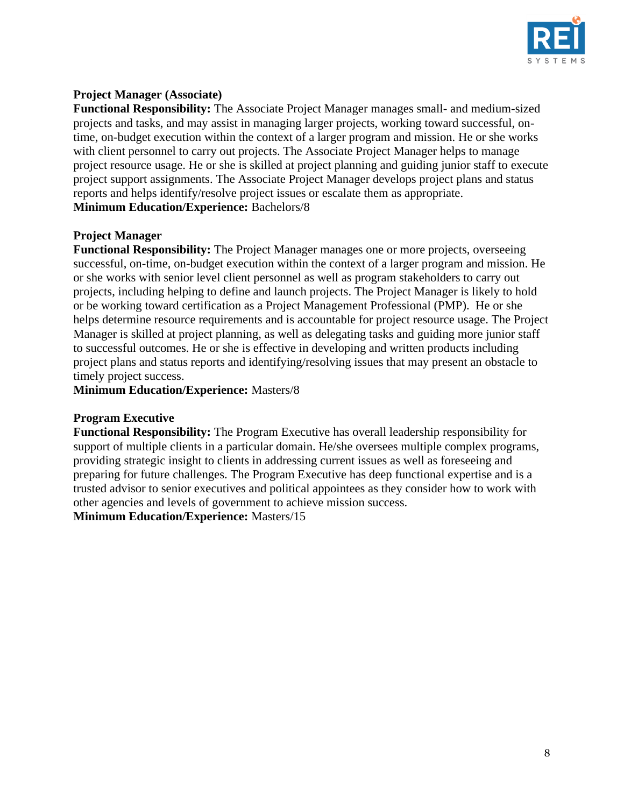

## **Project Manager (Associate)**

**Functional Responsibility:** The Associate Project Manager manages small- and medium-sized projects and tasks, and may assist in managing larger projects, working toward successful, ontime, on-budget execution within the context of a larger program and mission. He or she works with client personnel to carry out projects. The Associate Project Manager helps to manage project resource usage. He or she is skilled at project planning and guiding junior staff to execute project support assignments. The Associate Project Manager develops project plans and status reports and helps identify/resolve project issues or escalate them as appropriate. **Minimum Education/Experience:** Bachelors/8

## **Project Manager**

**Functional Responsibility:** The Project Manager manages one or more projects, overseeing successful, on-time, on-budget execution within the context of a larger program and mission. He or she works with senior level client personnel as well as program stakeholders to carry out projects, including helping to define and launch projects. The Project Manager is likely to hold or be working toward certification as a Project Management Professional (PMP). He or she helps determine resource requirements and is accountable for project resource usage. The Project Manager is skilled at project planning, as well as delegating tasks and guiding more junior staff to successful outcomes. He or she is effective in developing and written products including project plans and status reports and identifying/resolving issues that may present an obstacle to timely project success.

**Minimum Education/Experience:** Masters/8

#### **Program Executive**

**Functional Responsibility:** The Program Executive has overall leadership responsibility for support of multiple clients in a particular domain. He/she oversees multiple complex programs, providing strategic insight to clients in addressing current issues as well as foreseeing and preparing for future challenges. The Program Executive has deep functional expertise and is a trusted advisor to senior executives and political appointees as they consider how to work with other agencies and levels of government to achieve mission success.

**Minimum Education/Experience:** Masters/15